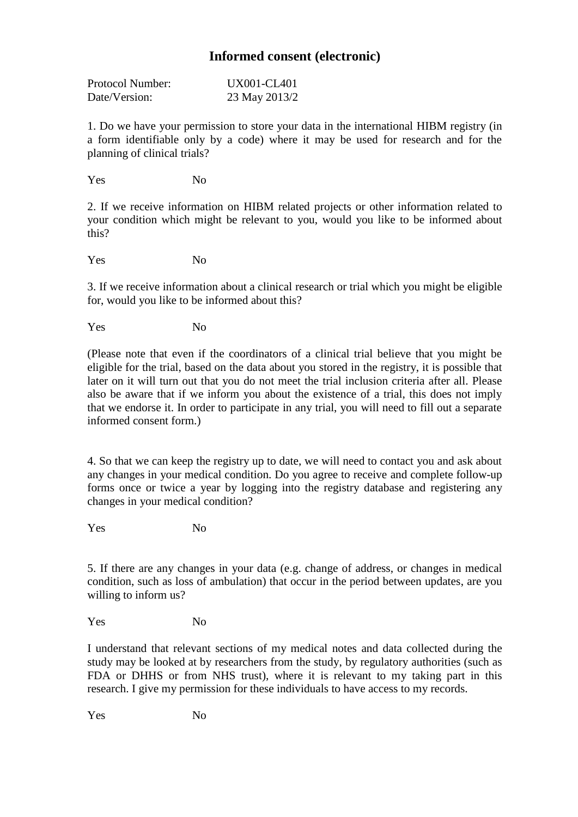## **Informed consent (electronic)**

| Protocol Number: | UX001-CL401   |
|------------------|---------------|
| Date/Version:    | 23 May 2013/2 |

1. Do we have your permission to store your data in the international HIBM registry (in a form identifiable only by a code) where it may be used for research and for the planning of clinical trials?

Yes No

2. If we receive information on HIBM related projects or other information related to your condition which might be relevant to you, would you like to be informed about this?

Yes No

3. If we receive information about a clinical research or trial which you might be eligible for, would you like to be informed about this?

Yes No

(Please note that even if the coordinators of a clinical trial believe that you might be eligible for the trial, based on the data about you stored in the registry, it is possible that later on it will turn out that you do not meet the trial inclusion criteria after all. Please also be aware that if we inform you about the existence of a trial, this does not imply that we endorse it. In order to participate in any trial, you will need to fill out a separate informed consent form.)

4. So that we can keep the registry up to date, we will need to contact you and ask about any changes in your medical condition. Do you agree to receive and complete follow-up forms once or twice a year by logging into the registry database and registering any changes in your medical condition?

Yes No

5. If there are any changes in your data (e.g. change of address, or changes in medical condition, such as loss of ambulation) that occur in the period between updates, are you willing to inform us?

Yes No

I understand that relevant sections of my medical notes and data collected during the study may be looked at by researchers from the study, by regulatory authorities (such as FDA or DHHS or from NHS trust), where it is relevant to my taking part in this research. I give my permission for these individuals to have access to my records.

Yes No